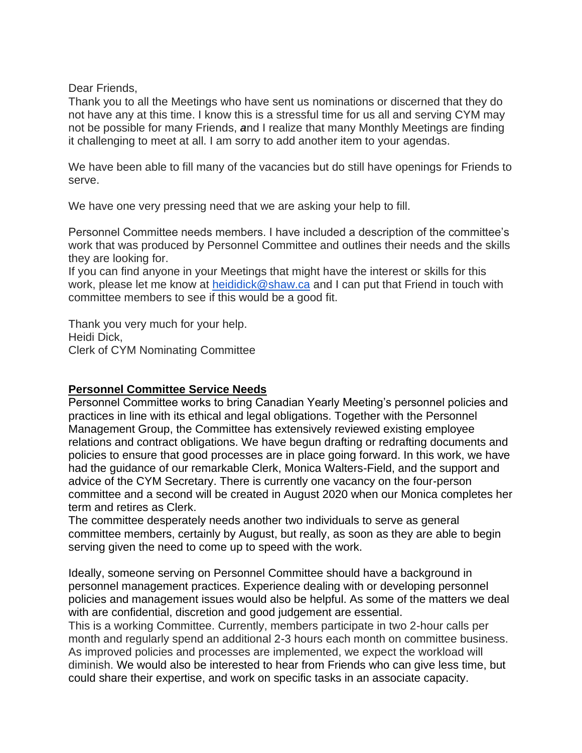Dear Friends,

Thank you to all the Meetings who have sent us nominations or discerned that they do not have any at this time. I know this is a stressful time for us all and serving CYM may not be possible for many Friends, *a*nd I realize that many Monthly Meetings are finding it challenging to meet at all. I am sorry to add another item to your agendas.

We have been able to fill many of the vacancies but do still have openings for Friends to serve.

We have one very pressing need that we are asking your help to fill.

Personnel Committee needs members. I have included a description of the committee's work that was produced by Personnel Committee and outlines their needs and the skills they are looking for.

If you can find anyone in your Meetings that might have the interest or skills for this work, please let me know at [heididick@shaw.ca](mailto:heididick@shaw.ca) and I can put that Friend in touch with committee members to see if this would be a good fit.

Thank you very much for your help. Heidi Dick, Clerk of CYM Nominating Committee

## **Personnel Committee Service Needs**

Personnel Committee works to bring Canadian Yearly Meeting's personnel policies and practices in line with its ethical and legal obligations. Together with the Personnel Management Group, the Committee has extensively reviewed existing employee relations and contract obligations. We have begun drafting or redrafting documents and policies to ensure that good processes are in place going forward. In this work, we have had the guidance of our remarkable Clerk, Monica Walters-Field, and the support and advice of the CYM Secretary. There is currently one vacancy on the four-person committee and a second will be created in August 2020 when our Monica completes her term and retires as Clerk.

The committee desperately needs another two individuals to serve as general committee members, certainly by August, but really, as soon as they are able to begin serving given the need to come up to speed with the work.

Ideally, someone serving on Personnel Committee should have a background in personnel management practices. Experience dealing with or developing personnel policies and management issues would also be helpful. As some of the matters we deal with are confidential, discretion and good judgement are essential.

This is a working Committee. Currently, members participate in two 2-hour calls per month and regularly spend an additional 2-3 hours each month on committee business. As improved policies and processes are implemented, we expect the workload will diminish. We would also be interested to hear from Friends who can give less time, but could share their expertise, and work on specific tasks in an associate capacity.